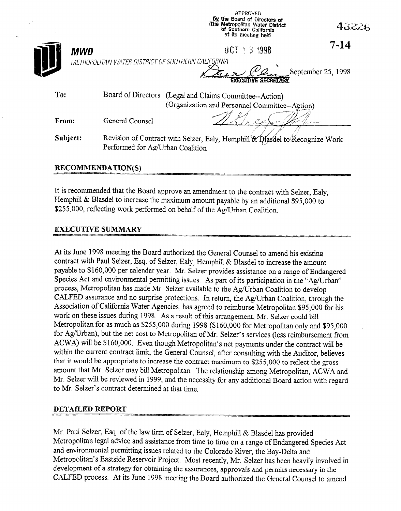|                                                                                                                              |                                                    | by the Board of Directors of<br>The Metropolitan Water District<br>of Southern California<br>at its meeting held |                    |
|------------------------------------------------------------------------------------------------------------------------------|----------------------------------------------------|------------------------------------------------------------------------------------------------------------------|--------------------|
| MWD                                                                                                                          |                                                    | $0C1 = 3 1998$                                                                                                   | $7 - 14$           |
|                                                                                                                              | METROPOLITAN WATER DISTRICT OF SOUTHERN CALIFORNIA | <b>EXECUTIVE SECRETARY</b>                                                                                       | September 25, 1998 |
| To:                                                                                                                          |                                                    | Board of Directors (Legal and Claims Committee--Action)<br>(Organization and Personnel Committee--Action)        |                    |
| From:                                                                                                                        | General Counsel                                    |                                                                                                                  |                    |
| Subject:<br>Revision of Contract with Selzer, Ealy, Hemphill & Blasdel to Recognize Work<br>Performed for Ag/Urban Coalition |                                                    |                                                                                                                  |                    |

**APPPOMER** 

## **RECOMMENDATION(S)**

It is recommended that the Board approve an amendment to the contract with Selzer, Ealy, Hemphill & Blasdel to increase the maximum amount payable by an additional \$95,000 to \$255,000, reflecting work performed on behalf of the Ag/Urban Coalition.

## **EXECUTIVE SUMMARY**

At its June 1998 meeting the Board authorized the General Counsel to amend his existing contract with Paul Selzer, Esq. of Selzer, Ealy, Hemphill & Blasdel to increase the amount payable to \$160,000 per calendar year. Mr. Selzer provides assistance on a range of Endangered Species Act and environmental permitting issues. As part of its participation in the "Ag/Urban" process, Metropolitan has made Mr. Selzer available to the Ag/Urban Coalition to develop CALFED assurance and no surprise protections. In return, the Ag/Urban Coalition, through the Association of California Water Agencies, has agreed to reimburse Metropolitan \$95,000 for his work on these issues during 1998. As a result of this arrangement, Mr. Selzer could bill Metropolitan for as much as \$255,000 during 1998 (\$160,000 for Metropolitan only and \$95,000 for Ag/Urban), but the net cost to Metropolitan of Mr. Selzer's services (less reimbursement from ACWA) will be \$160,000. Even though Metropolitan's net payments under the contract will be within the current contract limit, the General Counsel, after consulting with the Auditor, believes that it would be appropriate to increase the contract maximum to \$255,000 to reflect the gross amount that Mr. Selzer may bill Metropolitan. The relationship among Metropolitan, ACWA and Mr. Selzer will be reviewed in 1999, and the necessity for any additional Board action with regard to Mr. Selzer's contract determined at that time

## **DETAILED REPORT**

Mr. Paul Selzer, Esq. of the law firm of Selzer, Ealy, Hemphill & Blasdel has provided Metropolitan legal advice and assistance from time to time on a range of Endangered Species Act and environmental permitting issues related to the Colorado River, the Bay-Delta and Metropolitan's Eastside Reservoir Project. Most recently, Mr. Selzer has been heavily involved in development of a strategy for obtaining the assurances, approvals and permits necessary in the CALFED process. At its June 1998 meeting the Board authorized the General Counsel to amend